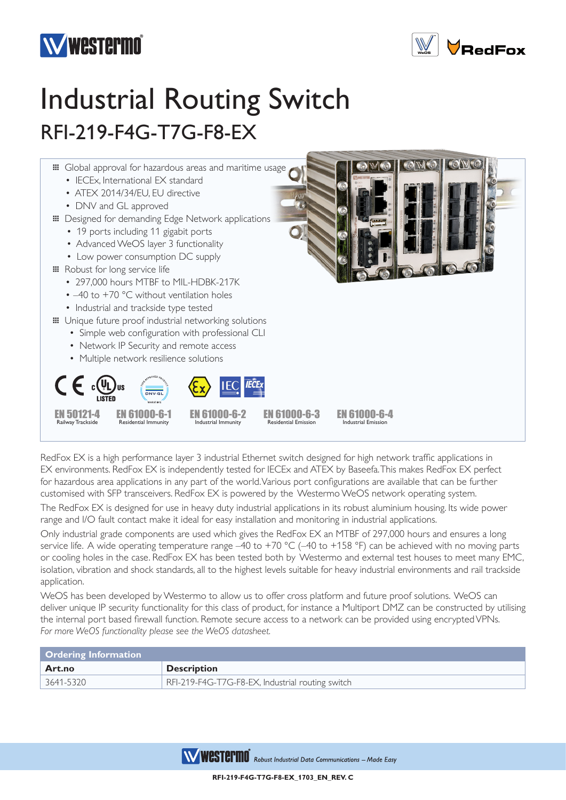



## Industrial Routing Switch RFI-219-F4G-T7G-F8-EX



RedFox EX is a high performance layer 3 industrial Ethernet switch designed for high network traffic applications in EX environments. RedFox EX is independently tested for IECEx and ATEX by Baseefa. This makes RedFox EX perfect for hazardous area applications in any part of the world. Various port configurations are available that can be further customised with SFP transceivers. RedFox EX is powered by the Westermo WeOS network operating system.

The RedFox EX is designed for use in heavy duty industrial applications in its robust aluminium housing. Its wide power range and I/O fault contact make it ideal for easy installation and monitoring in industrial applications.

Only industrial grade components are used which gives the RedFox EX an MTBF of 297,000 hours and ensures a long service life. A wide operating temperature range -40 to +70 °C (-40 to +158 °F) can be achieved with no moving parts or cooling holes in the case. RedFox EX has been tested both by Westermo and external test houses to meet many EMC, isolation, vibration and shock standards, all to the highest levels suitable for heavy industrial environments and rail trackside application.

WeOS has been developed by Westermo to allow us to offer cross platform and future proof solutions. WeOS can deliver unique IP security functionality for this class of product, for instance a Multiport DMZ can be constructed by utilising the internal port based firewall function. Remote secure access to a network can be provided using encrypted VPNs. *For more WeOS functionality please see the WeOS datasheet.*

| Ordering Information   |                                                  |
|------------------------|--------------------------------------------------|
| Art.no                 | <b>Description</b>                               |
| $\frac{1}{3641}$ -5320 | RFI-219-F4G-T7G-F8-EX, Industrial routing switch |